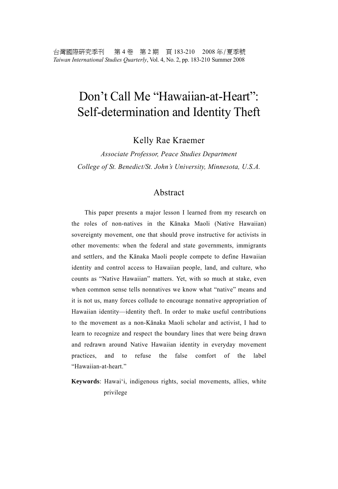# Don't Call Me "Hawaiian-at-Heart": Self-determination and Identity Theft

Kelly Rae Kraemer

*Associate Professor, Peace Studies Department College of St. Benedict/St. John's University, Minnesota, U.S.A.* 

#### Abstract

This paper presents a major lesson I learned from my research on the roles of non-natives in the Kānaka Maoli (Native Hawaiian) sovereignty movement, one that should prove instructive for activists in other movements: when the federal and state governments, immigrants and settlers, and the Kānaka Maoli people compete to define Hawaiian identity and control access to Hawaiian people, land, and culture, who counts as "Native Hawaiian" matters. Yet, with so much at stake, even when common sense tells nonnatives we know what "native" means and it is not us, many forces collude to encourage nonnative appropriation of Hawaiian identity—identity theft. In order to make useful contributions to the movement as a non-Kānaka Maoli scholar and activist, I had to learn to recognize and respect the boundary lines that were being drawn and redrawn around Native Hawaiian identity in everyday movement practices, and to refuse the false comfort of the label "Hawaiian-at-heart."

**Keywords**: Hawai'i, indigenous rights, social movements, allies, white privilege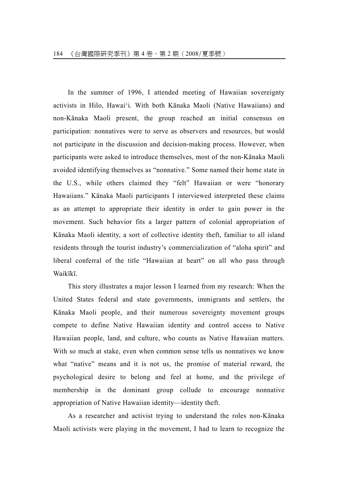In the summer of 1996, I attended meeting of Hawaiian sovereignty activists in Hilo, Hawai'i. With both Kānaka Maoli (Native Hawaiians) and non-Kānaka Maoli present, the group reached an initial consensus on participation: nonnatives were to serve as observers and resources, but would not participate in the discussion and decision-making process. However, when participants were asked to introduce themselves, most of the non-Kānaka Maoli avoided identifying themselves as "nonnative." Some named their home state in the U.S., while others claimed they "felt" Hawaiian or were "honorary Hawaiians." Kānaka Maoli participants I interviewed interpreted these claims as an attempt to appropriate their identity in order to gain power in the movement. Such behavior fits a larger pattern of colonial appropriation of Kānaka Maoli identity, a sort of collective identity theft, familiar to all island residents through the tourist industry's commercialization of "aloha spirit" and liberal conferral of the title "Hawaiian at heart" on all who pass through Waikīkī.

This story illustrates a major lesson I learned from my research: When the United States federal and state governments, immigrants and settlers, the Kānaka Maoli people, and their numerous sovereignty movement groups compete to define Native Hawaiian identity and control access to Native Hawaiian people, land, and culture, who counts as Native Hawaiian matters. With so much at stake, even when common sense tells us nonnatives we know what "native" means and it is not us, the promise of material reward, the psychological desire to belong and feel at home, and the privilege of membership in the dominant group collude to encourage nonnative appropriation of Native Hawaiian identity—identity theft.

As a researcher and activist trying to understand the roles non-Kānaka Maoli activists were playing in the movement, I had to learn to recognize the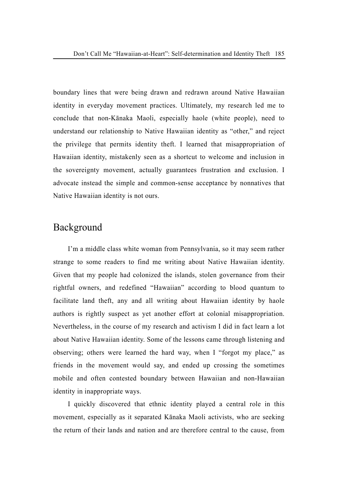boundary lines that were being drawn and redrawn around Native Hawaiian identity in everyday movement practices. Ultimately, my research led me to conclude that non-Kānaka Maoli, especially haole (white people), need to understand our relationship to Native Hawaiian identity as "other," and reject the privilege that permits identity theft. I learned that misappropriation of Hawaiian identity, mistakenly seen as a shortcut to welcome and inclusion in the sovereignty movement, actually guarantees frustration and exclusion. I advocate instead the simple and common-sense acceptance by nonnatives that Native Hawaiian identity is not ours.

## Background

I'm a middle class white woman from Pennsylvania, so it may seem rather strange to some readers to find me writing about Native Hawaiian identity. Given that my people had colonized the islands, stolen governance from their rightful owners, and redefined "Hawaiian" according to blood quantum to facilitate land theft, any and all writing about Hawaiian identity by haole authors is rightly suspect as yet another effort at colonial misappropriation. Nevertheless, in the course of my research and activism I did in fact learn a lot about Native Hawaiian identity. Some of the lessons came through listening and observing; others were learned the hard way, when I "forgot my place," as friends in the movement would say, and ended up crossing the sometimes mobile and often contested boundary between Hawaiian and non-Hawaiian identity in inappropriate ways.

I quickly discovered that ethnic identity played a central role in this movement, especially as it separated Kānaka Maoli activists, who are seeking the return of their lands and nation and are therefore central to the cause, from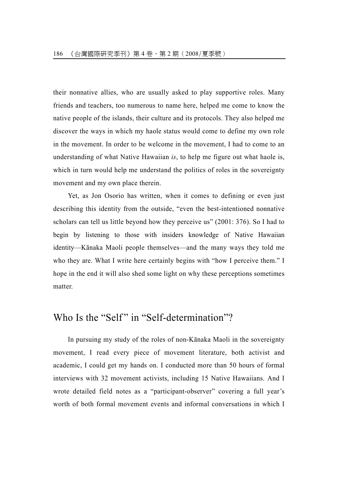their nonnative allies, who are usually asked to play supportive roles. Many friends and teachers, too numerous to name here, helped me come to know the native people of the islands, their culture and its protocols. They also helped me discover the ways in which my haole status would come to define my own role in the movement. In order to be welcome in the movement, I had to come to an understanding of what Native Hawaiian *is*, to help me figure out what haole is, which in turn would help me understand the politics of roles in the sovereignty movement and my own place therein.

Yet, as Jon Osorio has written, when it comes to defining or even just describing this identity from the outside, "even the best-intentioned nonnative scholars can tell us little beyond how they perceive us" (2001: 376). So I had to begin by listening to those with insiders knowledge of Native Hawaiian identity—Kānaka Maoli people themselves—and the many ways they told me who they are. What I write here certainly begins with "how I perceive them." I hope in the end it will also shed some light on why these perceptions sometimes matter.

## Who Is the "Self" in "Self-determination"?

In pursuing my study of the roles of non-Kānaka Maoli in the sovereignty movement, I read every piece of movement literature, both activist and academic, I could get my hands on. I conducted more than 50 hours of formal interviews with 32 movement activists, including 15 Native Hawaiians. And I wrote detailed field notes as a "participant-observer" covering a full year's worth of both formal movement events and informal conversations in which I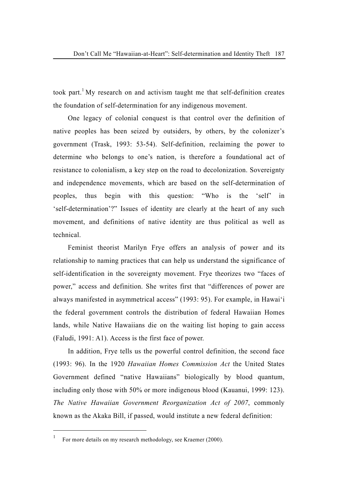took part.<sup>[1](#page-4-0)</sup> My research on and activism taught me that self-definition creates the foundation of self-determination for any indigenous movement.

One legacy of colonial conquest is that control over the definition of native peoples has been seized by outsiders, by others, by the colonizer's government (Trask, 1993: 53-54). Self-definition, reclaiming the power to determine who belongs to one's nation, is therefore a foundational act of resistance to colonialism, a key step on the road to decolonization. Sovereignty and independence movements, which are based on the self-determination of peoples, thus begin with this question: "Who is the 'self' in 'self-determination'?" Issues of identity are clearly at the heart of any such movement, and definitions of native identity are thus political as well as technical.

Feminist theorist Marilyn Frye offers an analysis of power and its relationship to naming practices that can help us understand the significance of self-identification in the sovereignty movement. Frye theorizes two "faces of power," access and definition. She writes first that "differences of power are always manifested in asymmetrical access" (1993: 95). For example, in Hawai'i the federal government controls the distribution of federal Hawaiian Homes lands, while Native Hawaiians die on the waiting list hoping to gain access (Faludi, 1991: A1). Access is the first face of power.

In addition, Frye tells us the powerful control definition, the second face (1993: 96). In the 1920 *Hawaiian Homes Commission Act* the United States Government defined "native Hawaiians" biologically by blood quantum, including only those with 50% or more indigenous blood (Kauanui, 1999: 123). *The Native Hawaiian Government Reorganization Act of 2007*, commonly known as the Akaka Bill, if passed, would institute a new federal definition:

 $\overline{a}$ 

<span id="page-4-0"></span><sup>1</sup> For more details on my research methodology, see Kraemer (2000).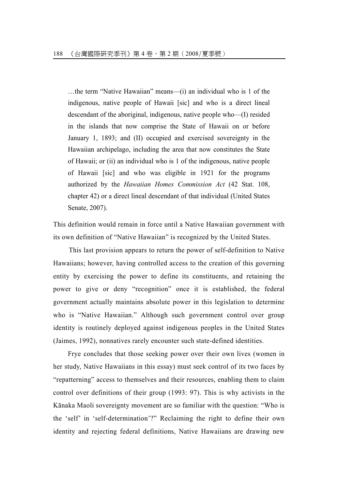…the term "Native Hawaiian" means—(i) an individual who is 1 of the indigenous, native people of Hawaii [sic] and who is a direct lineal descendant of the aboriginal, indigenous, native people who—(I) resided in the islands that now comprise the State of Hawaii on or before January 1, 1893; and (II) occupied and exercised sovereignty in the Hawaiian archipelago, including the area that now constitutes the State of Hawaii; or (ii) an individual who is 1 of the indigenous, native people of Hawaii [sic] and who was eligible in 1921 for the programs authorized by the *Hawaiian Homes Commission Act* (42 Stat. 108, chapter 42) or a direct lineal descendant of that individual (United States Senate, 2007).

This definition would remain in force until a Native Hawaiian government with its own definition of "Native Hawaiian" is recognized by the United States.

 This last provision appears to return the power of self-definition to Native Hawaiians; however, having controlled access to the creation of this governing entity by exercising the power to define its constituents, and retaining the power to give or deny "recognition" once it is established, the federal government actually maintains absolute power in this legislation to determine who is "Native Hawaiian." Although such government control over group identity is routinely deployed against indigenous peoples in the United States (Jaimes, 1992), nonnatives rarely encounter such state-defined identities.

Frye concludes that those seeking power over their own lives (women in her study, Native Hawaiians in this essay) must seek control of its two faces by "repatterning" access to themselves and their resources, enabling them to claim control over definitions of their group (1993: 97). This is why activists in the Kānaka Maoli sovereignty movement are so familiar with the question: "Who is the 'self' in 'self-determination'?" Reclaiming the right to define their own identity and rejecting federal definitions, Native Hawaiians are drawing new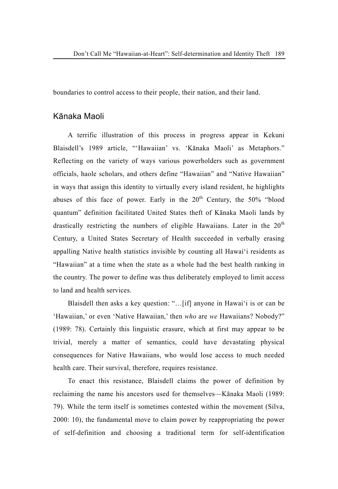boundaries to control access to their people, their nation, and their land.

#### Kānaka Maoli

A terrific illustration of this process in progress appear in Kekuni Blaisdell's 1989 article, "'Hawaiian' vs. 'Kānaka Maoli' as Metaphors." Reflecting on the variety of ways various powerholders such as government officials, haole scholars, and others define "Hawaiian" and "Native Hawaiian" in ways that assign this identity to virtually every island resident, he highlights abuses of this face of power. Early in the  $20<sup>th</sup>$  Century, the 50% "blood quantum" definition facilitated United States theft of Kānaka Maoli lands by drastically restricting the numbers of eligible Hawaiians. Later in the  $20<sup>th</sup>$ Century, a United States Secretary of Health succeeded in verbally erasing appalling Native health statistics invisible by counting all Hawai'i residents as "Hawaiian" at a time when the state as a whole had the best health ranking in the country. The power to define was thus deliberately employed to limit access to land and health services.

Blaisdell then asks a key question: "…[if] anyone in Hawai'i is or can be 'Hawaiian,' or even 'Native Hawaiian,' then *who* are *we* Hawaiians? Nobody?" (1989: 78). Certainly this linguistic erasure, which at first may appear to be trivial, merely a matter of semantics, could have devastating physical consequences for Native Hawaiians, who would lose access to much needed health care. Their survival, therefore, requires resistance.

To enact this resistance, Blaisdell claims the power of definition by reclaiming the name his ancestors used for themselves—Kānaka Maoli (1989: 79). While the term itself is sometimes contested within the movement (Silva, 2000: 10), the fundamental move to claim power by reappropriating the power of self-definition and choosing a traditional term for self-identification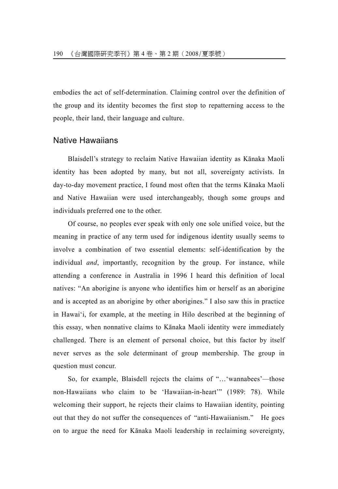embodies the act of self-determination. Claiming control over the definition of the group and its identity becomes the first stop to repatterning access to the people, their land, their language and culture.

#### Native Hawaiians

Blaisdell's strategy to reclaim Native Hawaiian identity as Kānaka Maoli identity has been adopted by many, but not all, sovereignty activists. In day-to-day movement practice, I found most often that the terms Kānaka Maoli and Native Hawaiian were used interchangeably, though some groups and individuals preferred one to the other.

Of course, no peoples ever speak with only one sole unified voice, but the meaning in practice of any term used for indigenous identity usually seems to involve a combination of two essential elements: self-identification by the individual *and*, importantly, recognition by the group. For instance, while attending a conference in Australia in 1996 I heard this definition of local natives: "An aborigine is anyone who identifies him or herself as an aborigine and is accepted as an aborigine by other aborigines." I also saw this in practice in Hawai'i, for example, at the meeting in Hilo described at the beginning of this essay, when nonnative claims to Kānaka Maoli identity were immediately challenged. There is an element of personal choice, but this factor by itself never serves as the sole determinant of group membership. The group in question must concur.

So, for example, Blaisdell rejects the claims of "…'wannabees'—those non-Hawaiians who claim to be 'Hawaiian-in-heart'" (1989: 78). While welcoming their support, he rejects their claims to Hawaiian identity, pointing out that they do not suffer the consequences of "anti-Hawaiianism." He goes on to argue the need for Kānaka Maoli leadership in reclaiming sovereignty,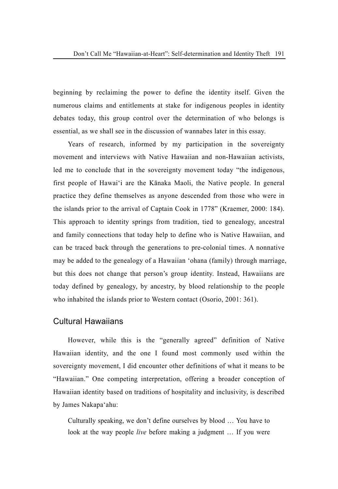beginning by reclaiming the power to define the identity itself. Given the numerous claims and entitlements at stake for indigenous peoples in identity debates today, this group control over the determination of who belongs is essential, as we shall see in the discussion of wannabes later in this essay.

Years of research, informed by my participation in the sovereignty movement and interviews with Native Hawaiian and non-Hawaiian activists, led me to conclude that in the sovereignty movement today "the indigenous, first people of Hawai'i are the Kānaka Maoli, the Native people. In general practice they define themselves as anyone descended from those who were in the islands prior to the arrival of Captain Cook in 1778" (Kraemer, 2000: 184). This approach to identity springs from tradition, tied to genealogy, ancestral and family connections that today help to define who is Native Hawaiian, and can be traced back through the generations to pre-colonial times. A nonnative may be added to the genealogy of a Hawaiian 'ohana (family) through marriage, but this does not change that person's group identity. Instead, Hawaiians are today defined by genealogy, by ancestry, by blood relationship to the people who inhabited the islands prior to Western contact (Osorio, 2001: 361).

#### Cultural Hawaiians

However, while this is the "generally agreed" definition of Native Hawaiian identity, and the one I found most commonly used within the sovereignty movement, I did encounter other definitions of what it means to be "Hawaiian." One competing interpretation, offering a broader conception of Hawaiian identity based on traditions of hospitality and inclusivity, is described by James Nakapa'ahu:

Culturally speaking, we don't define ourselves by blood … You have to look at the way people *live* before making a judgment … If you were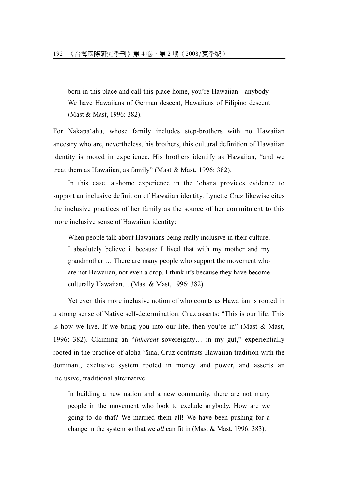born in this place and call this place home, you're Hawaiian—anybody. We have Hawaiians of German descent, Hawaiians of Filipino descent (Mast & Mast, 1996: 382).

For Nakapa'ahu, whose family includes step-brothers with no Hawaiian ancestry who are, nevertheless, his brothers, this cultural definition of Hawaiian identity is rooted in experience. His brothers identify as Hawaiian, "and we treat them as Hawaiian, as family" (Mast & Mast, 1996: 382).

In this case, at-home experience in the 'ohana provides evidence to support an inclusive definition of Hawaiian identity. Lynette Cruz likewise cites the inclusive practices of her family as the source of her commitment to this more inclusive sense of Hawaiian identity:

When people talk about Hawaiians being really inclusive in their culture, I absolutely believe it because I lived that with my mother and my grandmother … There are many people who support the movement who are not Hawaiian, not even a drop. I think it's because they have become culturally Hawaiian… (Mast & Mast, 1996: 382).

Yet even this more inclusive notion of who counts as Hawaiian is rooted in a strong sense of Native self-determination. Cruz asserts: "This is our life. This is how we live. If we bring you into our life, then you're in" (Mast & Mast, 1996: 382). Claiming an "*inherent* sovereignty… in my gut," experientially rooted in the practice of aloha 'āina, Cruz contrasts Hawaiian tradition with the dominant, exclusive system rooted in money and power, and asserts an inclusive, traditional alternative:

In building a new nation and a new community, there are not many people in the movement who look to exclude anybody. How are we going to do that? We married them all! We have been pushing for a change in the system so that we *all* can fit in (Mast & Mast, 1996: 383).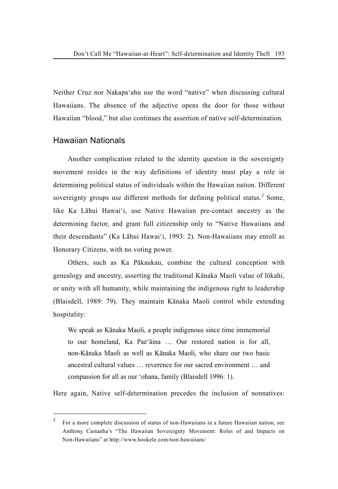Neither Cruz nor Nakapa'ahu use the word "native" when discussing cultural Hawaiians. The absence of the adjective opens the door for those without Hawaiian "blood," but also continues the assertion of native self-determination.

#### Hawaiian Nationals

 $\overline{a}$ 

Another complication related to the identity question in the sovereignty movement resides in the way definitions of identity must play a role in determining political status of individuals within the Hawaiian nation. Different sovereignty groups use different methods for defining political status.<sup>[2](#page-10-0)</sup> Some, like Ka Lāhui Hawai'i, use Native Hawaiian pre-contact ancestry as the determining factor, and grant full citizenship only to "Native Hawaiians and their descendants" (Ka Lāhui Hawai'i, 1993: 2). Non-Hawaiians may enroll as Honorary Citizens, with no voting power.

Others, such as Ka Pākaukau, combine the cultural conception with genealogy and ancestry, asserting the traditional Kānaka Maoli value of lōkahi, or unity with all humanity, while maintaining the indigenous right to leadership (Blaisdell, 1989: 79). They maintain Kānaka Maoli control while extending hospitality:

We speak as Kānaka Maoli, a people indigenous since time immemorial to our homeland, Ka Pae'āina … Our restored nation is for all, non-Kānaka Maoli as well as Kānaka Maoli, who share our two basic ancestral cultural values … reverence for our sacred environment … and compassion for all as our 'ohana, family (Blaisdell 1996: 1).

Here again, Native self-determination precedes the inclusion of nonnatives:

<span id="page-10-0"></span><sup>&</sup>lt;sup>2</sup> For a more complete discussion of status of non-Hawaiians in a future Hawaiian nation, see Anthony Castanha's "The Hawaiian Sovereignty Movement: Roles of and Impacts on Non-Hawaiians" at http://www.hookele.com/non-hawaiians/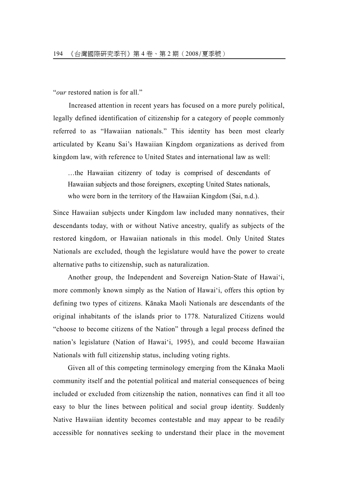"*our* restored nation is for all."

 Increased attention in recent years has focused on a more purely political, legally defined identification of citizenship for a category of people commonly referred to as "Hawaiian nationals." This identity has been most clearly articulated by Keanu Sai's Hawaiian Kingdom organizations as derived from kingdom law, with reference to United States and international law as well:

…the Hawaiian citizenry of today is comprised of descendants of Hawaiian subjects and those foreigners, excepting United States nationals, who were born in the territory of the Hawaiian Kingdom (Sai, n.d.).

Since Hawaiian subjects under Kingdom law included many nonnatives, their descendants today, with or without Native ancestry, qualify as subjects of the restored kingdom, or Hawaiian nationals in this model. Only United States Nationals are excluded, though the legislature would have the power to create alternative paths to citizenship, such as naturalization.

Another group, the Independent and Sovereign Nation-State of Hawai'i, more commonly known simply as the Nation of Hawai'i, offers this option by defining two types of citizens. Kānaka Maoli Nationals are descendants of the original inhabitants of the islands prior to 1778. Naturalized Citizens would "choose to become citizens of the Nation" through a legal process defined the nation's legislature (Nation of Hawai'i, 1995), and could become Hawaiian Nationals with full citizenship status, including voting rights.

Given all of this competing terminology emerging from the Kānaka Maoli community itself and the potential political and material consequences of being included or excluded from citizenship the nation, nonnatives can find it all too easy to blur the lines between political and social group identity. Suddenly Native Hawaiian identity becomes contestable and may appear to be readily accessible for nonnatives seeking to understand their place in the movement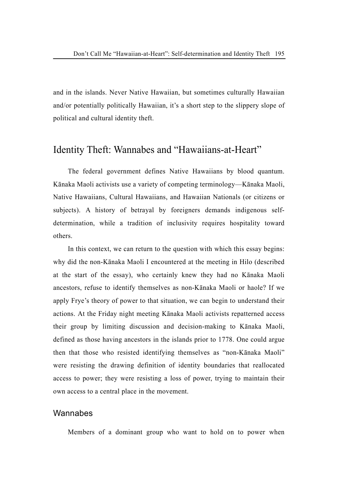and in the islands. Never Native Hawaiian, but sometimes culturally Hawaiian and/or potentially politically Hawaiian, it's a short step to the slippery slope of political and cultural identity theft.

## Identity Theft: Wannabes and "Hawaiians-at-Heart"

The federal government defines Native Hawaiians by blood quantum. Kānaka Maoli activists use a variety of competing terminology—Kānaka Maoli, Native Hawaiians, Cultural Hawaiians, and Hawaiian Nationals (or citizens or subjects). A history of betrayal by foreigners demands indigenous selfdetermination, while a tradition of inclusivity requires hospitality toward others.

In this context, we can return to the question with which this essay begins: why did the non-Kānaka Maoli I encountered at the meeting in Hilo (described at the start of the essay), who certainly knew they had no Kānaka Maoli ancestors, refuse to identify themselves as non-Kānaka Maoli or haole? If we apply Frye's theory of power to that situation, we can begin to understand their actions. At the Friday night meeting Kānaka Maoli activists repatterned access their group by limiting discussion and decision-making to Kānaka Maoli, defined as those having ancestors in the islands prior to 1778. One could argue then that those who resisted identifying themselves as "non-Kānaka Maoli" were resisting the drawing definition of identity boundaries that reallocated access to power; they were resisting a loss of power, trying to maintain their own access to a central place in the movement.

#### Wannabes

Members of a dominant group who want to hold on to power when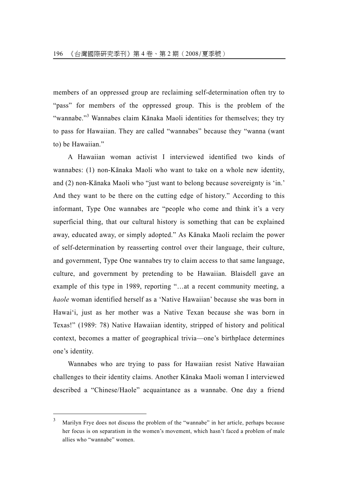members of an oppressed group are reclaiming self-determination often try to "pass" for members of the oppressed group. This is the problem of the "wannabe."<sup>[3](#page-13-0)</sup> Wannabes claim Kānaka Maoli identities for themselves; they try to pass for Hawaiian. They are called "wannabes" because they "wanna (want to) be Hawaiian."

A Hawaiian woman activist I interviewed identified two kinds of wannabes: (1) non-Kānaka Maoli who want to take on a whole new identity, and (2) non-Kānaka Maoli who "just want to belong because sovereignty is 'in.' And they want to be there on the cutting edge of history." According to this informant, Type One wannabes are "people who come and think it's a very superficial thing, that our cultural history is something that can be explained away, educated away, or simply adopted." As Kānaka Maoli reclaim the power of self-determination by reasserting control over their language, their culture, and government, Type One wannabes try to claim access to that same language, culture, and government by pretending to be Hawaiian. Blaisdell gave an example of this type in 1989, reporting "…at a recent community meeting, a *haole* woman identified herself as a 'Native Hawaiian' because she was born in Hawai'i, just as her mother was a Native Texan because she was born in Texas!" (1989: 78) Native Hawaiian identity, stripped of history and political context, becomes a matter of geographical trivia—one's birthplace determines one's identity.

Wannabes who are trying to pass for Hawaiian resist Native Hawaiian challenges to their identity claims. Another Kānaka Maoli woman I interviewed described a "Chinese/Haole" acquaintance as a wannabe. One day a friend

 $\overline{a}$ 

<span id="page-13-0"></span><sup>3</sup> Marilyn Frye does not discuss the problem of the "wannabe" in her article, perhaps because her focus is on separatism in the women's movement, which hasn't faced a problem of male allies who "wannabe" women.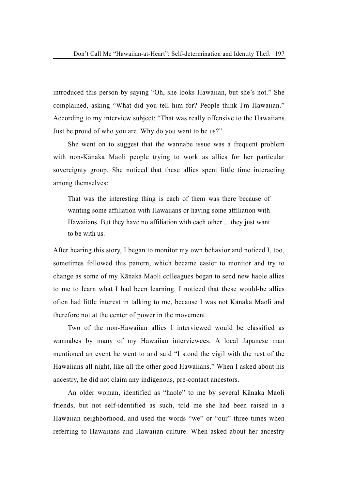introduced this person by saying "Oh, she looks Hawaiian, but she's not." She complained, asking "What did you tell him for? People think I'm Hawaiian." According to my interview subject: "That was really offensive to the Hawaiians. Just be proud of who you are. Why do you want to be us?"

She went on to suggest that the wannabe issue was a frequent problem with non-Kānaka Maoli people trying to work as allies for her particular sovereignty group. She noticed that these allies spent little time interacting among themselves:

That was the interesting thing is each of them was there because of wanting some affiliation with Hawaiians or having some affiliation with Hawaiians. But they have no affiliation with each other ... they just want to be with us.

After hearing this story, I began to monitor my own behavior and noticed I, too, sometimes followed this pattern, which became easier to monitor and try to change as some of my Kānaka Maoli colleagues began to send new haole allies to me to learn what I had been learning. I noticed that these would-be allies often had little interest in talking to me, because I was not Kānaka Maoli and therefore not at the center of power in the movement.

Two of the non-Hawaiian allies I interviewed would be classified as wannabes by many of my Hawaiian interviewees. A local Japanese man mentioned an event he went to and said "I stood the vigil with the rest of the Hawaiians all night, like all the other good Hawaiians." When I asked about his ancestry, he did not claim any indigenous, pre-contact ancestors.

An older woman, identified as "haole" to me by several Kānaka Maoli friends, but not self-identified as such, told me she had been raised in a Hawaiian neighborhood, and used the words "we" or "our" three times when referring to Hawaiians and Hawaiian culture. When asked about her ancestry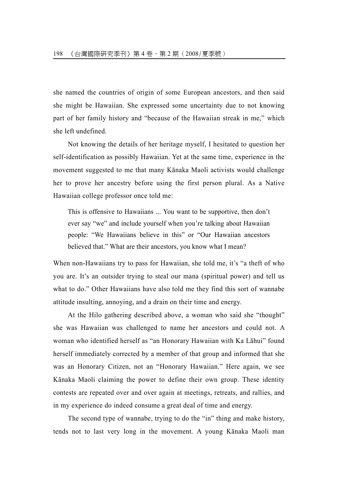she named the countries of origin of some European ancestors, and then said she might be Hawaiian. She expressed some uncertainty due to not knowing part of her family history and "because of the Hawaiian streak in me," which she left undefined.

Not knowing the details of her heritage myself, I hesitated to question her self-identification as possibly Hawaiian. Yet at the same time, experience in the movement suggested to me that many Kānaka Maoli activists would challenge her to prove her ancestry before using the first person plural. As a Native Hawaiian college professor once told me:

This is offensive to Hawaiians ... You want to be supportive, then don't ever say "we" and include yourself when you're talking about Hawaiian people: "We Hawaiians believe in this" or "Our Hawaiian ancestors believed that." What are their ancestors, you know what I mean?

When non-Hawaiians try to pass for Hawaiian, she told me, it's "a theft of who you are. It's an outsider trying to steal our mana (spiritual power) and tell us what to do." Other Hawaiians have also told me they find this sort of wannabe attitude insulting, annoying, and a drain on their time and energy.

At the Hilo gathering described above, a woman who said she "thought" she was Hawaiian was challenged to name her ancestors and could not. A woman who identified herself as "an Honorary Hawaiian with Ka Lāhui" found herself immediately corrected by a member of that group and informed that she was an Honorary Citizen, not an "Honorary Hawaiian." Here again, we see Kānaka Maoli claiming the power to define their own group. These identity contests are repeated over and over again at meetings, retreats, and rallies, and in my experience do indeed consume a great deal of time and energy.

The second type of wannabe, trying to do the "in" thing and make history, tends not to last very long in the movement. A young Kānaka Maoli man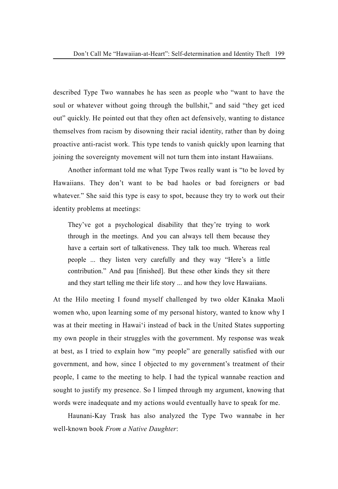described Type Two wannabes he has seen as people who "want to have the soul or whatever without going through the bullshit," and said "they get iced out" quickly. He pointed out that they often act defensively, wanting to distance themselves from racism by disowning their racial identity, rather than by doing proactive anti-racist work. This type tends to vanish quickly upon learning that joining the sovereignty movement will not turn them into instant Hawaiians.

Another informant told me what Type Twos really want is "to be loved by Hawaiians. They don't want to be bad haoles or bad foreigners or bad whatever." She said this type is easy to spot, because they try to work out their identity problems at meetings:

They've got a psychological disability that they're trying to work through in the meetings. And you can always tell them because they have a certain sort of talkativeness. They talk too much. Whereas real people ... they listen very carefully and they way "Here's a little contribution." And pau [finished]. But these other kinds they sit there and they start telling me their life story ... and how they love Hawaiians.

At the Hilo meeting I found myself challenged by two older Kānaka Maoli women who, upon learning some of my personal history, wanted to know why I was at their meeting in Hawai'i instead of back in the United States supporting my own people in their struggles with the government. My response was weak at best, as I tried to explain how "my people" are generally satisfied with our government, and how, since I objected to my government's treatment of their people, I came to the meeting to help. I had the typical wannabe reaction and sought to justify my presence. So I limped through my argument, knowing that words were inadequate and my actions would eventually have to speak for me.

Haunani-Kay Trask has also analyzed the Type Two wannabe in her well-known book *From a Native Daughter*: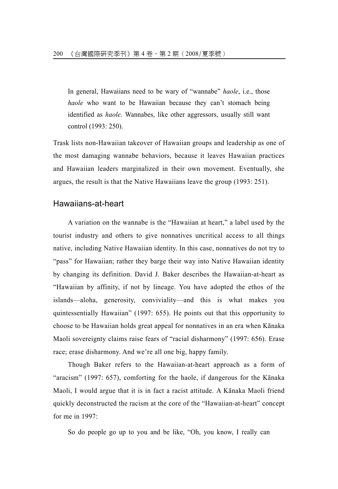In general, Hawaiians need to be wary of "wannabe" *haole*, i.e., those *haole* who want to be Hawaiian because they can't stomach being identified as *haole*. Wannabes, like other aggressors, usually still want control (1993: 250).

Trask lists non-Hawaiian takeover of Hawaiian groups and leadership as one of the most damaging wannabe behaviors, because it leaves Hawaiian practices and Hawaiian leaders marginalized in their own movement. Eventually, she argues, the result is that the Native Hawaiians leave the group (1993: 251).

#### Hawaiians-at-heart

A variation on the wannabe is the "Hawaiian at heart," a label used by the tourist industry and others to give nonnatives uncritical access to all things native, including Native Hawaiian identity. In this case, nonnatives do not try to "pass" for Hawaiian; rather they barge their way into Native Hawaiian identity by changing its definition. David J. Baker describes the Hawaiian-at-heart as "Hawaiian by affinity, if not by lineage. You have adopted the ethos of the islands—aloha, generosity, conviviality—and this is what makes you quintessentially Hawaiian" (1997: 655). He points out that this opportunity to choose to be Hawaiian holds great appeal for nonnatives in an era when Kānaka Maoli sovereignty claims raise fears of "racial disharmony" (1997: 656). Erase race; erase disharmony. And we're all one big, happy family.

Though Baker refers to the Hawaiian-at-heart approach as a form of "aracism" (1997: 657), comforting for the haole, if dangerous for the Kānaka Maoli, I would argue that it is in fact a racist attitude. A Kānaka Maoli friend quickly deconstructed the racism at the core of the "Hawaiian-at-heart" concept for me in 1997:

So do people go up to you and be like, "Oh, you know, I really can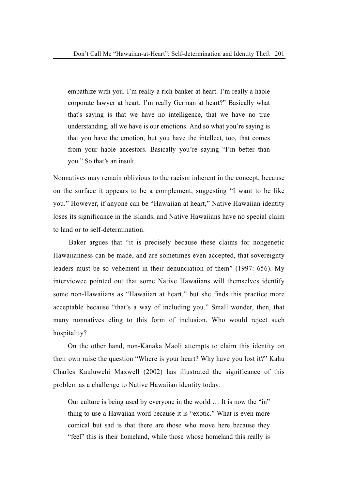empathize with you. I'm really a rich banker at heart. I'm really a haole corporate lawyer at heart. I'm really German at heart?" Basically what that's saying is that we have no intelligence, that we have no true understanding, all we have is our emotions. And so what you're saying is that you have the emotion, but you have the intellect, too, that comes from your haole ancestors. Basically you're saying "I'm better than you." So that's an insult.

Nonnatives may remain oblivious to the racism inherent in the concept, because on the surface it appears to be a complement, suggesting "I want to be like you." However, if anyone can be "Hawaiian at heart," Native Hawaiian identity loses its significance in the islands, and Native Hawaiians have no special claim to land or to self-determination.

 Baker argues that "it is precisely because these claims for nongenetic Hawaiianness can be made, and are sometimes even accepted, that sovereignty leaders must be so vehement in their denunciation of them" (1997: 656). My interviewee pointed out that some Native Hawaiians will themselves identify some non-Hawaiians as "Hawaiian at heart," but she finds this practice more acceptable because "that's a way of including you." Small wonder, then, that many nonnatives cling to this form of inclusion. Who would reject such hospitality?

On the other hand, non-Kānaka Maoli attempts to claim this identity on their own raise the question "Where is your heart? Why have you lost it?" Kahu Charles Kauluwehi Maxwell (2002) has illustrated the significance of this problem as a challenge to Native Hawaiian identity today:

Our culture is being used by everyone in the world … It is now the "in" thing to use a Hawaiian word because it is "exotic." What is even more comical but sad is that there are those who move here because they "feel" this is their homeland, while those whose homeland this really is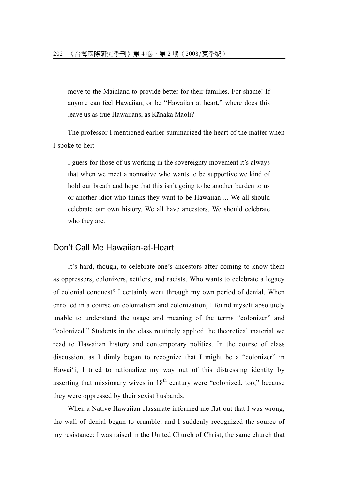move to the Mainland to provide better for their families. For shame! If anyone can feel Hawaiian, or be "Hawaiian at heart," where does this leave us as true Hawaiians, as Kānaka Maoli?

The professor I mentioned earlier summarized the heart of the matter when I spoke to her:

I guess for those of us working in the sovereignty movement it's always that when we meet a nonnative who wants to be supportive we kind of hold our breath and hope that this isn't going to be another burden to us or another idiot who thinks they want to be Hawaiian ... We all should celebrate our own history. We all have ancestors. We should celebrate who they are.

#### Don't Call Me Hawaiian-at-Heart

It's hard, though, to celebrate one's ancestors after coming to know them as oppressors, colonizers, settlers, and racists. Who wants to celebrate a legacy of colonial conquest? I certainly went through my own period of denial. When enrolled in a course on colonialism and colonization, I found myself absolutely unable to understand the usage and meaning of the terms "colonizer" and "colonized." Students in the class routinely applied the theoretical material we read to Hawaiian history and contemporary politics. In the course of class discussion, as I dimly began to recognize that I might be a "colonizer" in Hawai'i, I tried to rationalize my way out of this distressing identity by asserting that missionary wives in  $18<sup>th</sup>$  century were "colonized, too," because they were oppressed by their sexist husbands.

When a Native Hawaiian classmate informed me flat-out that I was wrong, the wall of denial began to crumble, and I suddenly recognized the source of my resistance: I was raised in the United Church of Christ, the same church that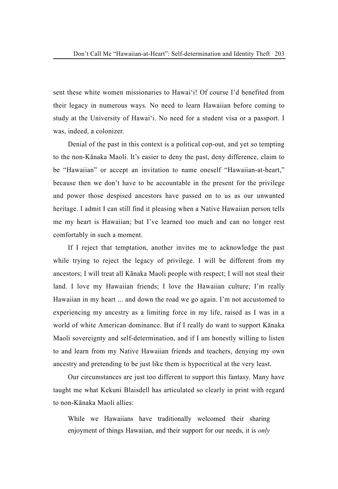sent these white women missionaries to Hawai'i! Of course I'd benefited from their legacy in numerous ways. No need to learn Hawaiian before coming to study at the University of Hawai'i. No need for a student visa or a passport. I was, indeed, a colonizer.

Denial of the past in this context is a political cop-out, and yet so tempting to the non-Kānaka Maoli. It's easier to deny the past, deny difference, claim to be "Hawaiian" or accept an invitation to name oneself "Hawaiian-at-heart," because then we don't have to be accountable in the present for the privilege and power those despised ancestors have passed on to us as our unwanted heritage. I admit I can still find it pleasing when a Native Hawaiian person tells me my heart is Hawaiian; but I've learned too much and can no longer rest comfortably in such a moment.

If I reject that temptation, another invites me to acknowledge the past while trying to reject the legacy of privilege. I will be different from my ancestors; I will treat all Kānaka Maoli people with respect; I will not steal their land. I love my Hawaiian friends; I love the Hawaiian culture; I'm really Hawaiian in my heart ... and down the road we go again. I'm not accustomed to experiencing my ancestry as a limiting force in my life, raised as I was in a world of white American dominance. But if I really do want to support Kānaka Maoli sovereignty and self-determination, and if I am honestly willing to listen to and learn from my Native Hawaiian friends and teachers, denying my own ancestry and pretending to be just like them is hypocritical at the very least.

Our circumstances are just too different to support this fantasy. Many have taught me what Kekuni Blaisdell has articulated so clearly in print with regard to non-Kānaka Maoli allies:

While we Hawaiians have traditionally welcomed their sharing enjoyment of things Hawaiian, and their support for our needs, it is *only*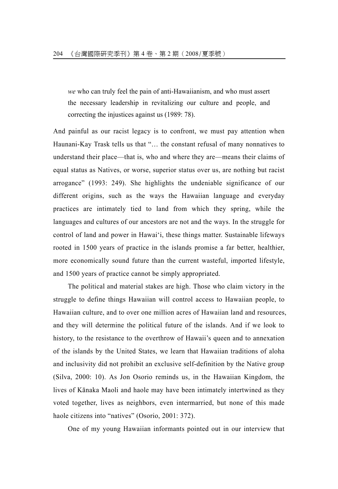*we* who can truly feel the pain of anti-Hawaiianism, and who must assert the necessary leadership in revitalizing our culture and people, and correcting the injustices against us (1989: 78).

And painful as our racist legacy is to confront, we must pay attention when Haunani-Kay Trask tells us that "… the constant refusal of many nonnatives to understand their place—that is, who and where they are—means their claims of equal status as Natives, or worse, superior status over us, are nothing but racist arrogance" (1993: 249). She highlights the undeniable significance of our different origins, such as the ways the Hawaiian language and everyday practices are intimately tied to land from which they spring, while the languages and cultures of our ancestors are not and the ways. In the struggle for control of land and power in Hawai'i, these things matter. Sustainable lifeways rooted in 1500 years of practice in the islands promise a far better, healthier, more economically sound future than the current wasteful, imported lifestyle, and 1500 years of practice cannot be simply appropriated.

The political and material stakes are high. Those who claim victory in the struggle to define things Hawaiian will control access to Hawaiian people, to Hawaiian culture, and to over one million acres of Hawaiian land and resources, and they will determine the political future of the islands. And if we look to history, to the resistance to the overthrow of Hawaii's queen and to annexation of the islands by the United States, we learn that Hawaiian traditions of aloha and inclusivity did not prohibit an exclusive self-definition by the Native group (Silva, 2000: 10). As Jon Osorio reminds us, in the Hawaiian Kingdom, the lives of Kānaka Maoli and haole may have been intimately intertwined as they voted together, lives as neighbors, even intermarried, but none of this made haole citizens into "natives" (Osorio, 2001: 372).

One of my young Hawaiian informants pointed out in our interview that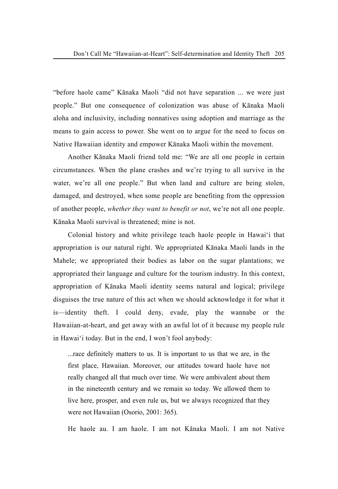"before haole came" Kānaka Maoli "did not have separation ... we were just people." But one consequence of colonization was abuse of Kānaka Maoli aloha and inclusivity, including nonnatives using adoption and marriage as the means to gain access to power. She went on to argue for the need to focus on Native Hawaiian identity and empower Kānaka Maoli within the movement.

Another Kānaka Maoli friend told me: "We are all one people in certain circumstances. When the plane crashes and we're trying to all survive in the water, we're all one people." But when land and culture are being stolen, damaged, and destroyed, when some people are benefiting from the oppression of another people, *whether they want to benefit or not*, we're not all one people. Kānaka Maoli survival is threatened; mine is not.

Colonial history and white privilege teach haole people in Hawai'i that appropriation is our natural right. We appropriated Kānaka Maoli lands in the Mahele; we appropriated their bodies as labor on the sugar plantations; we appropriated their language and culture for the tourism industry. In this context, appropriation of Kānaka Maoli identity seems natural and logical; privilege disguises the true nature of this act when we should acknowledge it for what it is—identity theft. I could deny, evade, play the wannabe or the Hawaiian-at-heart, and get away with an awful lot of it because my people rule in Hawai'i today. But in the end, I won't fool anybody:

...race definitely matters to us. It is important to us that we are, in the first place, Hawaiian. Moreover, our attitudes toward haole have not really changed all that much over time. We were ambivalent about them in the nineteenth century and we remain so today. We allowed them to live here, prosper, and even rule us, but we always recognized that they were not Hawaiian (Osorio, 2001: 365).

He haole au. I am haole. I am not Kānaka Maoli. I am not Native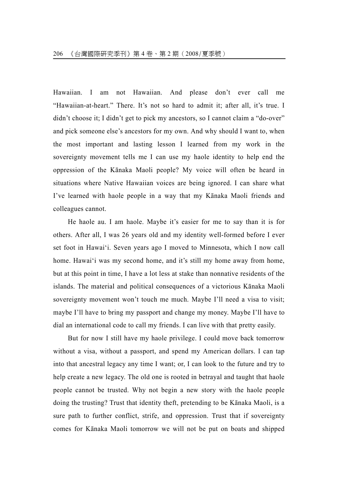Hawaiian. I am not Hawaiian. And please don't ever call me "Hawaiian-at-heart." There. It's not so hard to admit it; after all, it's true. I didn't choose it; I didn't get to pick my ancestors, so I cannot claim a "do-over" and pick someone else's ancestors for my own. And why should I want to, when the most important and lasting lesson I learned from my work in the sovereignty movement tells me I can use my haole identity to help end the oppression of the Kānaka Maoli people? My voice will often be heard in situations where Native Hawaiian voices are being ignored. I can share what I've learned with haole people in a way that my Kānaka Maoli friends and colleagues cannot.

He haole au. I am haole. Maybe it's easier for me to say than it is for others. After all, I was 26 years old and my identity well-formed before I ever set foot in Hawai'i. Seven years ago I moved to Minnesota, which I now call home. Hawai'i was my second home, and it's still my home away from home, but at this point in time, I have a lot less at stake than nonnative residents of the islands. The material and political consequences of a victorious Kānaka Maoli sovereignty movement won't touch me much. Maybe I'll need a visa to visit; maybe I'll have to bring my passport and change my money. Maybe I'll have to dial an international code to call my friends. I can live with that pretty easily.

But for now I still have my haole privilege. I could move back tomorrow without a visa, without a passport, and spend my American dollars. I can tap into that ancestral legacy any time I want; or, I can look to the future and try to help create a new legacy. The old one is rooted in betrayal and taught that haole people cannot be trusted. Why not begin a new story with the haole people doing the trusting? Trust that identity theft, pretending to be Kānaka Maoli, is a sure path to further conflict, strife, and oppression. Trust that if sovereignty comes for Kānaka Maoli tomorrow we will not be put on boats and shipped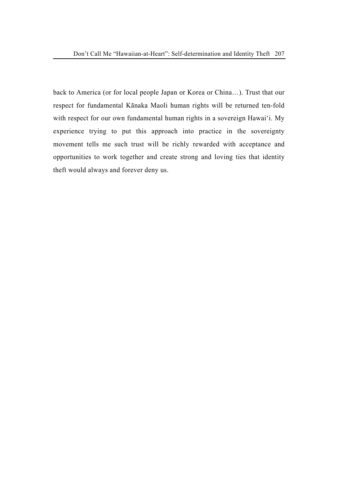back to America (or for local people Japan or Korea or China…). Trust that our respect for fundamental Kānaka Maoli human rights will be returned ten-fold with respect for our own fundamental human rights in a sovereign Hawai'i. My experience trying to put this approach into practice in the sovereignty movement tells me such trust will be richly rewarded with acceptance and opportunities to work together and create strong and loving ties that identity theft would always and forever deny us.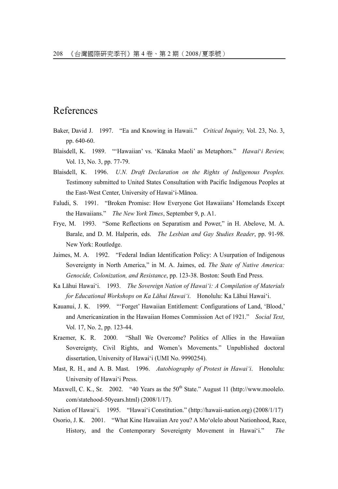## References

- Baker, David J. 1997. "Ea and Knowing in Hawaii." *Critical Inquiry,* Vol. 23, No. 3, pp. 640-60.
- Blaisdell, K. 1989. "'Hawaiian' vs. 'Kānaka Maoli' as Metaphors." *Hawai*'*i Review,* Vol. 13, No. 3, pp. 77-79.
- Blaisdell, K. 1996. *U.N. Draft Declaration on the Rights of Indigenous Peoples.* Testimony submitted to United States Consultation with Pacific Indigenous Peoples at the East-West Center, University of Hawai'i-Mānoa.
- Faludi, S. 1991. "Broken Promise: How Everyone Got Hawaiians' Homelands Except the Hawaiians." *The New York Times*, September 9, p. A1.
- Frye, M. 1993. "Some Reflections on Separatism and Power," in H. Abelove, M. A. Barale, and D. M. Halperin, eds. *The Lesbian and Gay Studies Reader*, pp. 91-98. New York: Routledge.
- Jaimes, M. A. 1992. "Federal Indian Identification Policy: A Usurpation of Indigenous Sovereignty in North America," in M. A. Jaimes, ed. *The State of Native America: Genocide, Colonization, and Resistance*, pp. 123-38. Boston: South End Press.
- Ka Lāhui Hawai'i. 1993. *The Sovereign Nation of Hawai'i: A Compilation of Materials for Educational Workshops on Ka Lāhui Hawai'i*. Honolulu: Ka Lāhui Hawai'i.
- Kauanui, J. K. 1999. "'Forget' Hawaiian Entitlement: Configurations of Land, 'Blood,' and Americanization in the Hawaiian Homes Commission Act of 1921." *Social Text*, Vol. 17, No. 2, pp. 123-44.
- Kraemer, K. R. 2000. "Shall We Overcome? Politics of Allies in the Hawaiian Sovereignty, Civil Rights, and Women's Movements." Unpublished doctoral dissertation, University of Hawai'i (UMI No. 9990254).
- Mast, R. H., and A. B. Mast. 1996. *Autobiography of Protest in Hawai'i*. Honolulu: University of Hawai'i Press.
- Maxwell, C. K., Sr. 2002. "40 Years as the  $50<sup>th</sup>$  State." August 11 (http://www.moolelo. com/statehood-50years.html) (2008/1/17).
- Nation of Hawai'i. 1995. "Hawai'i Constitution." (http://hawaii-nation.org) (2008/1/17)
- Osorio, J. K. 2001. "What Kine Hawaiian Are you? A Mo'olelo about Nationhood, Race, History, and the Contemporary Sovereignty Movement in Hawai'i." *The*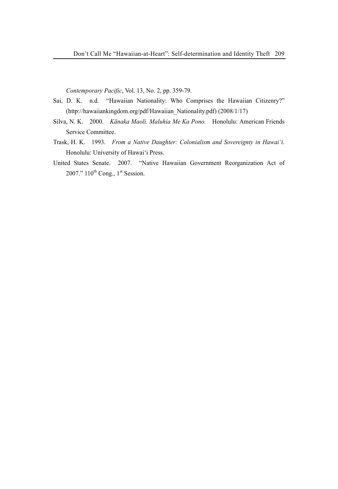*Contemporary Pacific*, Vol. 13, No. 2, pp. 359-79.

- Sai, D. K. n.d. "Hawaiian Nationality: Who Comprises the Hawaiian Citizenry?" (http://hawaiiankingdom.org/pdf/Hawaiian\_Nationality.pdf) (2008/1/17)
- Silva, N. K. 2000. *Kānaka Maoli. Maluhia Me Ka Pono.* Honolulu: American Friends Service Committee.
- Trask, H. K. 1993. *From a Native Daughter: Colonialism and Sovereignty in Hawai'i*. Honolulu: University of Hawai'i Press.
- United States Senate. 2007. "Native Hawaiian Government Reorganization Act of 2007."  $110^{th}$  Cong.,  $1^{st}$  Session.